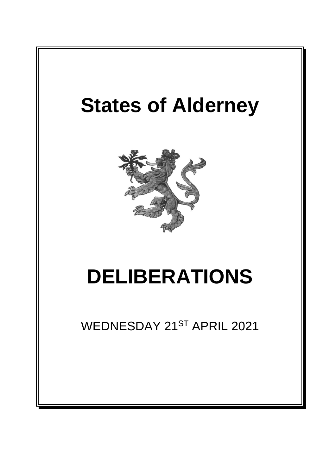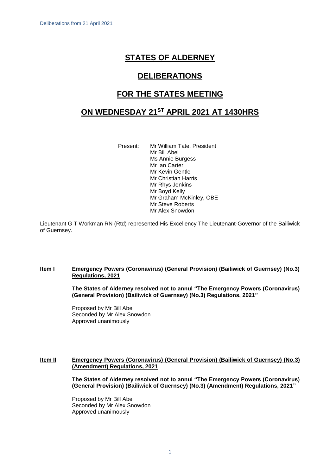# **STATES OF ALDERNEY**

# **DELIBERATIONS**

# **FOR THE STATES MEETING**

# **ON WEDNESDAY 21ST APRIL 2021 AT 1430HRS**

Present: Mr William Tate, President Mr Bill Abel Ms Annie Burgess Mr Ian Carter Mr Kevin Gentle Mr Christian Harris Mr Rhys Jenkins Mr Boyd Kelly Mr Graham McKinley, OBE Mr Steve Roberts Mr Alex Snowdon

Lieutenant G T Workman RN (Rtd) represented His Excellency The Lieutenant-Governor of the Bailiwick of Guernsey.

## **Item I Emergency Powers (Coronavirus) (General Provision) (Bailiwick of Guernsey) (No.3) Regulations, 2021**

**The States of Alderney resolved not to annul "The Emergency Powers (Coronavirus) (General Provision) (Bailiwick of Guernsey) (No.3) Regulations, 2021"**

Proposed by Mr Bill Abel Seconded by Mr Alex Snowdon Approved unanimously

## **Item II Emergency Powers (Coronavirus) (General Provision) (Bailiwick of Guernsey) (No.3) (Amendment) Regulations, 2021**

**The States of Alderney resolved not to annul "The Emergency Powers (Coronavirus) (General Provision) (Bailiwick of Guernsey) (No.3) (Amendment) Regulations, 2021"**

Proposed by Mr Bill Abel Seconded by Mr Alex Snowdon Approved unanimously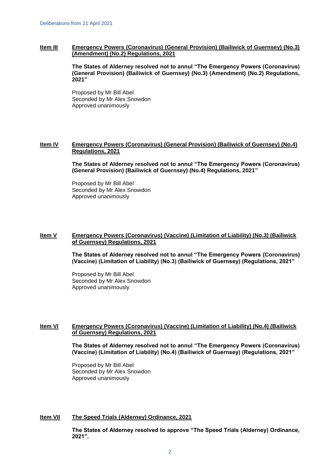## **Item III Emergency Powers (Coronavirus) (General Provision) (Bailiwick of Guernsey) (No.3) (Amendment) (No.2) Regulations, 2021**

**The States of Alderney resolved not to annul "The Emergency Powers (Coronavirus) (General Provision) (Bailiwick of Guernsey) (No.3) (Amendment) (No.2) Regulations, 2021"**

Proposed by Mr Bill Abel Seconded by Mr Alex Snowdon Approved unanimously

## **Item IV Emergency Powers (Coronavirus) (General Provision) (Bailiwick of Guernsey) (No.4) Regulations, 2021**

**The States of Alderney resolved not to annul "The Emergency Powers (Coronavirus) (General Provision) (Bailiwick of Guernsey) (No.4) Regulations, 2021"**

Proposed by Mr Bill Abel Seconded by Mr Alex Snowdon Approved unanimously

## **Item V Emergency Powers (Coronavirus) (Vaccine) (Limitation of Liability) (No.3) (Bailiwick of Guernsey) Regulations, 2021**

**The States of Alderney resolved not to annul "The Emergency Powers (Coronavirus) (Vaccine) (Limitation of Liability) (No.3) (Bailiwick of Guernsey) (Regulations, 2021"**

Proposed by Mr Bill Abel Seconded by Mr Alex Snowdon Approved unanimously

## **Item VI Emergency Powers (Coronavirus) (Vaccine) (Limitation of Liability) (No.4) (Bailiwick of Guernsey) Regulations, 2021**

**The States of Alderney resolved not to annul "The Emergency Powers (Coronavirus) (Vaccine) (Limitation of Liability) (No.4) (Bailiwick of Guernsey) (Regulations, 2021"**

Proposed by Mr Bill Abel Seconded by Mr Alex Snowdon Approved unanimously

# **Item VII The Speed Trials (Alderney) Ordinance, 2021**

**The States of Alderney resolved to approve "The Speed Trials (Alderney) Ordinance, 2021".**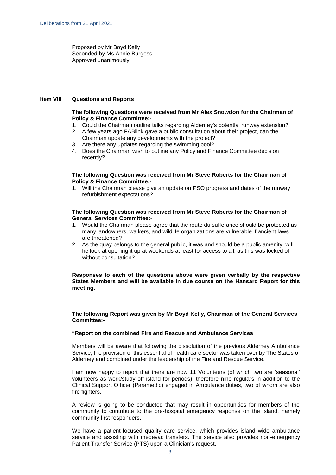Proposed by Mr Boyd Kelly Seconded by Ms Annie Burgess Approved unanimously

#### **Item VIII Questions and Reports**

#### **The following Questions were received from Mr Alex Snowdon for the Chairman of Policy & Finance Committee:-**

- 1. Could the Chairman outline talks regarding Alderney's potential runway extension?
- 2. A few years ago FABlink gave a public consultation about their project, can the Chairman update any developments with the project?
- 3. Are there any updates regarding the swimming pool?
- 4. Does the Chairman wish to outline any Policy and Finance Committee decision recently?

#### **The following Question was received from Mr Steve Roberts for the Chairman of Policy & Finance Committee:-**

1. Will the Chairman please give an update on PSO progress and dates of the runway refurbishment expectations?

#### **The following Question was received from Mr Steve Roberts for the Chairman of General Services Committee:-**

- 1. Would the Chairman please agree that the route du sufferance should be protected as many landowners, walkers, and wildlife organizations are vulnerable if ancient laws are threatened?
- 2. As the quay belongs to the general public, it was and should be a public amenity, will he look at opening it up at weekends at least for access to all, as this was locked off without consultation?

**Responses to each of the questions above were given verbally by the respective States Members and will be available in due course on the Hansard Report for this meeting.**

**The following Report was given by Mr Boyd Kelly, Chairman of the General Services Committee:-**

#### **"Report on the combined Fire and Rescue and Ambulance Services**

Members will be aware that following the dissolution of the previous Alderney Ambulance Service, the provision of this essential of health care sector was taken over by The States of Alderney and combined under the leadership of the Fire and Rescue Service.

I am now happy to report that there are now 11 Volunteers (of which two are 'seasonal' volunteers as work/study off island for periods), therefore nine regulars in addition to the Clinical Support Officer (Paramedic) engaged in Ambulance duties, two of whom are also fire fighters.

A review is going to be conducted that may result in opportunities for members of the community to contribute to the pre-hospital emergency response on the island, namely community first responders.

We have a patient-focused quality care service, which provides island wide ambulance service and assisting with medevac transfers. The service also provides non-emergency Patient Transfer Service (PTS) upon a Clinician's request.